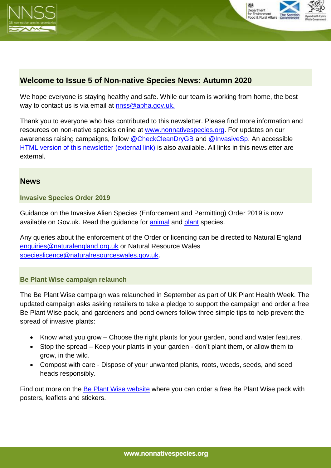



# **Welcome to Issue 5 of Non-native Species News: Autumn 2020**

We hope everyone is staying healthy and safe. While our team is working from home, the best way to contact us is via email at [nnss@apha.gov.uk.](mailto:nnss@apha.gov.uk)

Thank you to everyone who has contributed to this newsletter. Please find more information and resources on non-native species online at [www.nonnativespecies.org.](http://www.nonnativespecies.org/) For updates on our awareness raising campaigns, follow [@CheckCleanDryGB](https://twitter.com/CheckCleanDryGB) and @InvasiveSp. An accessible [HTML version of this newsletter \(external link\)](https://secure.fera.defra.gov.uk/nonnativespecies/index.cfm?pageid=676) is also available. All links in this newsletter are external.

### **News**

#### **Invasive Species Order 2019**

Guidance on the Invasive Alien Species (Enforcement and Permitting) Order 2019 is now available on Gov.uk. Read the quidance for [animal](https://www.gov.uk/guidance/invasive-non-native-alien-animal-species-rules-in-england-and-wales) and [plant](https://www.gov.uk/guidance/invasive-non-native-alien-plant-species-rules-in-england-and-wales) species.

Any queries about the enforcement of the Order or licencing can be directed to Natural England [enquiries@naturalengland.org.uk](mailto:enquiries@naturalengland.org.uk) or Natural Resource Wales [specieslicence@naturalresourceswales.gov.uk.](mailto:specieslicence@naturalresourceswales.gov.uk)

#### **Be Plant Wise campaign relaunch**

The Be Plant Wise campaign was relaunched in September as part of UK Plant Health Week. The updated campaign asks asking retailers to take a pledge to support the campaign and order a free Be Plant Wise pack, and gardeners and pond owners follow three simple tips to help prevent the spread of invasive plants:

- Know what you grow Choose the right plants for your garden, pond and water features.
- Stop the spread Keep your plants in your garden don't plant them, or allow them to grow, in the wild.
- Compost with care Dispose of your unwanted plants, roots, weeds, seeds, and seed heads responsibly.

Find out more on the [Be Plant Wise website](http://www.nonnativespecies.org/beplantwise/) where you can order a free Be Plant Wise pack with posters, leaflets and stickers.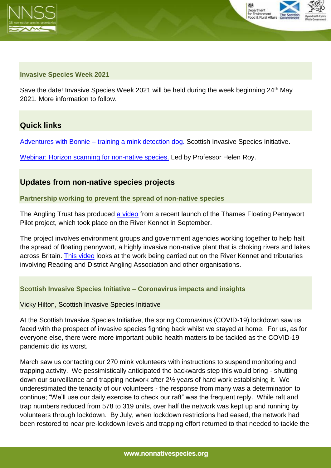



#### **Invasive Species Week 2021**

Save the date! Invasive Species Week 2021 will be held during the week beginning 24<sup>th</sup> May 2021. More information to follow.

## **Quick links**

Adventures with Bonnie – [training a mink detection dog.](https://invasivespeciesscot.home.blog/2020/10/27/adventures-with-bonnie-training-a-mink-detection-dog/) Scottish Invasive Species Initiative.

[Webinar: Horizon scanning for non-native species.](https://www.youtube.com/watch?v=-MaZM8erwHA) Led by Professor Helen Roy.

## **Updates from non-native species projects**

#### **Partnership working to prevent the spread of non-native species**

The Angling Trust has produced [a video](https://www.youtube.com/watch?v=f4RHFi1z0O4&feature=emb_logo) from a recent launch of the Thames Floating Pennywort Pilot project, which took place on the River Kennet in September.

The project involves environment groups and government agencies working together to help halt the spread of floating pennywort, a highly invasive non-native plant that is choking rivers and lakes across Britain. [This video](https://www.youtube.com/watch?v=f4RHFi1z0O4&feature=emb_logo) looks at the work being carried out on the River Kennet and tributaries involving Reading and District Angling Association and other organisations.

## **Scottish Invasive Species Initiative – Coronavirus impacts and insights**

Vicky Hilton, Scottish Invasive Species Initiative

At the Scottish Invasive Species Initiative, the spring Coronavirus (COVID-19) lockdown saw us faced with the prospect of invasive species fighting back whilst we stayed at home. For us, as for everyone else, there were more important public health matters to be tackled as the COVID-19 pandemic did its worst.

March saw us contacting our 270 mink volunteers with instructions to suspend monitoring and trapping activity. We pessimistically anticipated the backwards step this would bring - shutting down our surveillance and trapping network after 2½ years of hard work establishing it. We underestimated the tenacity of our volunteers - the response from many was a determination to continue; "We'll use our daily exercise to check our raft" was the frequent reply. While raft and trap numbers reduced from 578 to 319 units, over half the network was kept up and running by volunteers through lockdown. By July, when lockdown restrictions had eased, the network had been restored to near pre-lockdown levels and trapping effort returned to that needed to tackle the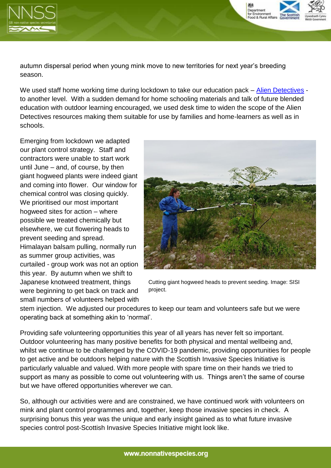

autumn dispersal period when young mink move to new territories for next year's breeding season.

We used staff home working time during lockdown to take our education pack – [Alien Detectives](https://www.invasivespecies.scot/alien-detectives) to another level. With a sudden demand for home schooling materials and talk of future blended education with outdoor learning encouraged, we used desk time to widen the scope of the Alien Detectives resources making them suitable for use by families and home-learners as well as in schools.

Emerging from lockdown we adapted our plant control strategy. Staff and contractors were unable to start work until June – and, of course, by then giant hogweed plants were indeed giant and coming into flower. Our window for chemical control was closing quickly. We prioritised our most important hogweed sites for action – where possible we treated chemically but elsewhere, we cut flowering heads to prevent seeding and spread. Himalayan balsam pulling, normally run as summer group activities, was curtailed - group work was not an option this year. By autumn when we shift to Japanese knotweed treatment, things were beginning to get back on track and small numbers of volunteers helped with



Department for Environment<br>Food & Rural Affai

Cutting giant hogweed heads to prevent seeding. Image: SISI project.

stem injection. We adjusted our procedures to keep our team and volunteers safe but we were operating back at something akin to 'normal'.

Providing safe volunteering opportunities this year of all years has never felt so important. Outdoor volunteering has many positive benefits for both physical and mental wellbeing and, whilst we continue to be challenged by the COVID-19 pandemic, providing opportunities for people to get active and be outdoors helping nature with the Scottish Invasive Species Initiative is particularly valuable and valued. With more people with spare time on their hands we tried to support as many as possible to come out volunteering with us. Things aren't the same of course but we have offered opportunities wherever we can.

So, although our activities were and are constrained, we have continued work with volunteers on mink and plant control programmes and, together, keep those invasive species in check. A surprising bonus this year was the unique and early insight gained as to what future invasive species control post-Scottish Invasive Species Initiative might look like.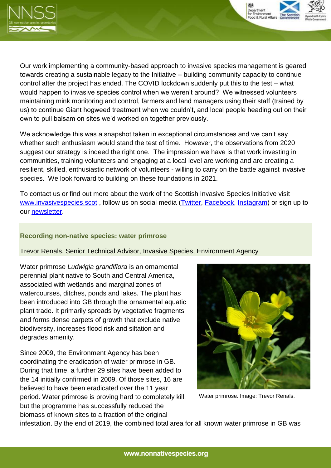



Our work implementing a community-based approach to invasive species management is geared towards creating a sustainable legacy to the Initiative – building community capacity to continue control after the project has ended. The COVID lockdown suddenly put this to the test – what would happen to invasive species control when we weren't around? We witnessed volunteers maintaining mink monitoring and control, farmers and land managers using their staff (trained by us) to continue Giant hogweed treatment when we couldn't, and local people heading out on their own to pull balsam on sites we'd worked on together previously.

We acknowledge this was a snapshot taken in exceptional circumstances and we can't say whether such enthusiasm would stand the test of time. However, the observations from 2020 suggest our strategy is indeed the right one. The impression we have is that work investing in communities, training volunteers and engaging at a local level are working and are creating a resilient, skilled, enthusiastic network of volunteers - willing to carry on the battle against invasive species. We look forward to building on these foundations in 2021.

To contact us or find out more about the work of the Scottish Invasive Species Initiative visit [www.invasivespecies.scot](http://www.invasivespecies.scot/) , follow us on social media [\(Twitter,](https://twitter.com/SISI_project) [Facebook,](https://www.facebook.com/scottishinvasivespecies) [Instagram\)](https://www.instagram.com/scot_invasive_sps_initiative/) or sign up to our [newsletter.](http://eepurl.com/dzRFrP)

#### **Recording non-native species: water primrose**

Trevor Renals, Senior Technical Advisor, Invasive Species, Environment Agency

Water primrose *Ludwigia grandiflora* is an ornamental perennial plant native to South and Central America, associated with wetlands and marginal zones of watercourses, ditches, ponds and lakes. The plant has been introduced into GB through the ornamental aquatic plant trade. It primarily spreads by vegetative fragments and forms dense carpets of growth that exclude native biodiversity, increases flood risk and siltation and degrades amenity.

Since 2009, the Environment Agency has been coordinating the eradication of water primrose in GB. During that time, a further 29 sites have been added to the 14 initially confirmed in 2009. Of those sites, 16 are believed to have been eradicated over the 11 year period. Water primrose is proving hard to completely kill, but the programme has successfully reduced the biomass of known sites to a fraction of the original



Water primrose. Image: Trevor Renals.

infestation. By the end of 2019, the combined total area for all known water primrose in GB was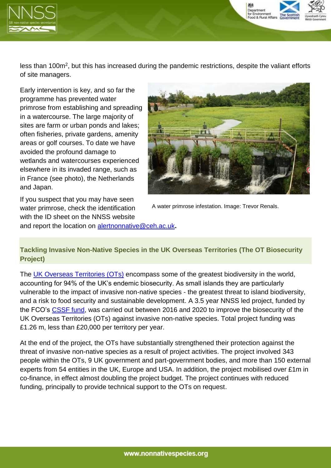

less than 100m<sup>2</sup>, but this has increased during the pandemic restrictions, despite the valiant efforts of site managers.

Early intervention is key, and so far the programme has prevented water primrose from establishing and spreading in a watercourse. The large majority of sites are farm or urban ponds and lakes; often fisheries, private gardens, amenity areas or golf courses. To date we have avoided the profound damage to wetlands and watercourses experienced elsewhere in its invaded range, such as in France (see photo), the Netherlands and Japan.



Department Food & Rural Affa

If you suspect that you may have seen water primrose, check the identification with the ID sheet on the NNSS website and report the location on [alertnonnative@ceh.ac.uk](mailto:alertnonnative@ceh.ac.uk)**.**

A water primrose infestation. Image: Trevor Renals.

## **Tackling Invasive Non-Native Species in the UK Overseas Territories (The OT Biosecurity Project)**

The [UK Overseas Territories \(OTs\)](https://secure.fera.defra.gov.uk/nonnativespecies/ots/otsMap.cfm) encompass some of the greatest biodiversity in the world, accounting for 94% of the UK's endemic biosecurity. As small islands they are particularly vulnerable to the impact of invasive non-native species - the greatest threat to island biodiversity, and a risk to food security and sustainable development. A 3.5 year NNSS led project, funded by the FCO's [CSSF fund,](https://www.gov.uk/government/organisations/conflict-stability-and-security-fund/about) was carried out between 2016 and 2020 to improve the biosecurity of the UK Overseas Territories (OTs) against invasive non-native species. Total project funding was £1.26 m, less than £20,000 per territory per year.

At the end of the project, the OTs have substantially strengthened their protection against the threat of invasive non-native species as a result of project activities. The project involved 343 people within the OTs, 9 UK government and part-government bodies, and more than 150 external experts from 54 entities in the UK, Europe and USA. In addition, the project mobilised over £1m in co-finance, in effect almost doubling the project budget. The project continues with reduced funding, principally to provide technical support to the OTs on request.